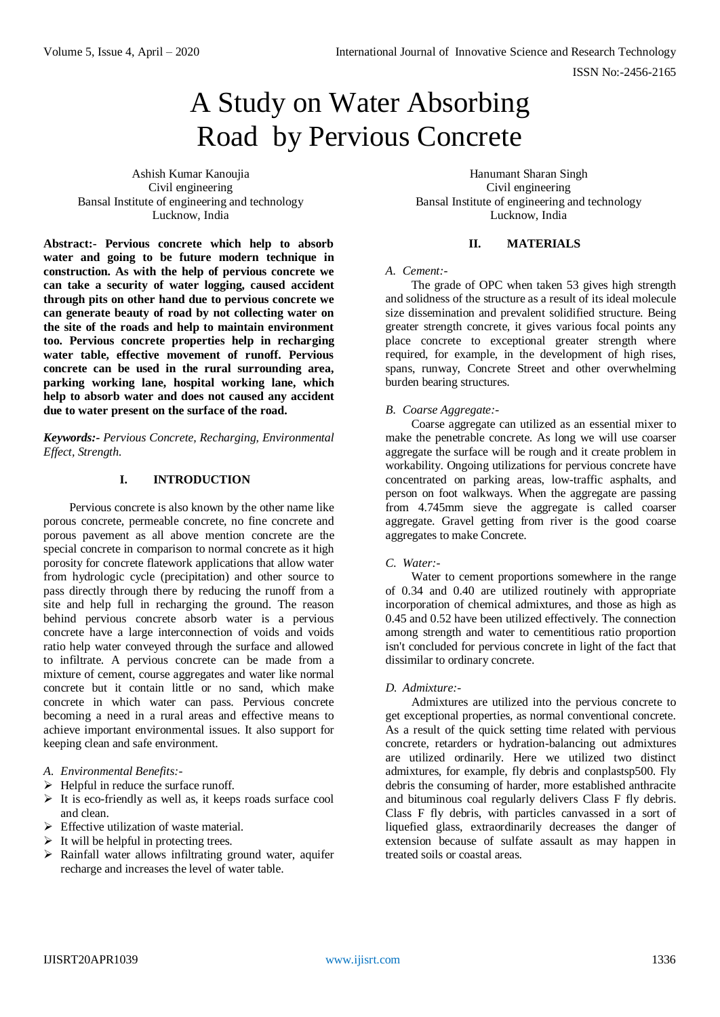# A Study on Water Absorbing Road by Pervious Concrete

Ashish Kumar Kanoujia Civil engineering Bansal Institute of engineering and technology Lucknow, India

**Abstract:- Pervious concrete which help to absorb water and going to be future modern technique in construction. As with the help of pervious concrete we can take a security of water logging, caused accident through pits on other hand due to pervious concrete we can generate beauty of road by not collecting water on the site of the roads and help to maintain environment too. Pervious concrete properties help in recharging water table, effective movement of runoff. Pervious concrete can be used in the rural surrounding area, parking working lane, hospital working lane, which help to absorb water and does not caused any accident due to water present on the surface of the road.**

*Keywords:- Pervious Concrete, Recharging, Environmental Effect, Strength.*

# **I. INTRODUCTION**

Pervious concrete is also known by the other name like porous concrete, permeable concrete, no fine concrete and porous pavement as all above mention concrete are the special concrete in comparison to normal concrete as it high porosity for concrete flatework applications that allow water from hydrologic cycle (precipitation) and other source to pass directly through there by reducing the runoff from a site and help full in recharging the ground. The reason behind pervious concrete absorb water is a pervious concrete have a large interconnection of voids and voids ratio help water conveyed through the surface and allowed to infiltrate. A pervious concrete can be made from a mixture of cement, course aggregates and water like normal concrete but it contain little or no sand, which make concrete in which water can pass. Pervious concrete becoming a need in a rural areas and effective means to achieve important environmental issues. It also support for keeping clean and safe environment.

- *A. Environmental Benefits:-*
- $\triangleright$  Helpful in reduce the surface runoff.
- $\triangleright$  It is eco-friendly as well as, it keeps roads surface cool and clean.
- $\triangleright$  Effective utilization of waste material.
- $\triangleright$  It will be helpful in protecting trees.
- $\triangleright$  Rainfall water allows infiltrating ground water, aquifer recharge and increases the level of water table.

Hanumant Sharan Singh Civil engineering Bansal Institute of engineering and technology Lucknow, India

## **II. MATERIALS**

#### *A. Cement:-*

The grade of OPC when taken 53 gives high strength and solidness of the structure as a result of its ideal molecule size dissemination and prevalent solidified structure. Being greater strength concrete, it gives various focal points any place concrete to exceptional greater strength where required, for example, in the development of high rises, spans, runway, Concrete Street and other overwhelming burden bearing structures.

## *B. Coarse Aggregate:-*

Coarse aggregate can utilized as an essential mixer to make the penetrable concrete. As long we will use coarser aggregate the surface will be rough and it create problem in workability. Ongoing utilizations for pervious concrete have concentrated on parking areas, low-traffic asphalts, and person on foot walkways. When the aggregate are passing from 4.745mm sieve the aggregate is called coarser aggregate. Gravel getting from river is the good coarse aggregates to make Concrete.

#### *C. Water:-*

Water to cement proportions somewhere in the range of 0.34 and 0.40 are utilized routinely with appropriate incorporation of chemical admixtures, and those as high as 0.45 and 0.52 have been utilized effectively. The connection among strength and water to cementitious ratio proportion isn't concluded for pervious concrete in light of the fact that dissimilar to ordinary concrete.

#### *D. Admixture:-*

Admixtures are utilized into the pervious concrete to get exceptional properties, as normal conventional concrete. As a result of the quick setting time related with pervious concrete, retarders or hydration-balancing out admixtures are utilized ordinarily. Here we utilized two distinct admixtures, for example, fly debris and conplastsp500. Fly debris the consuming of harder, more established anthracite and bituminous coal regularly delivers Class F fly debris. Class F fly debris, with particles canvassed in a sort of liquefied glass, extraordinarily decreases the danger of extension because of sulfate assault as may happen in treated soils or coastal areas.